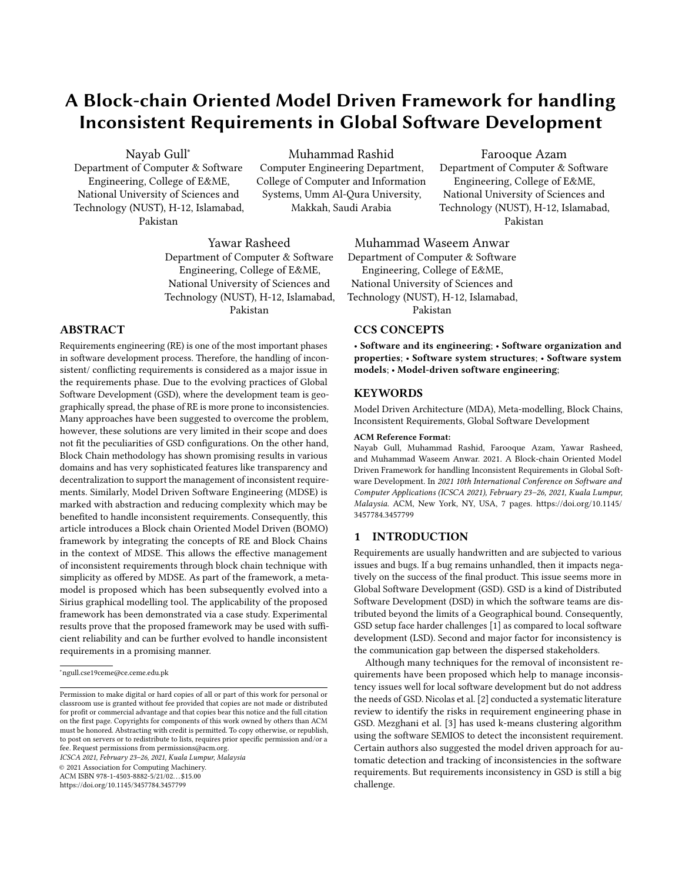# A Block-chain Oriented Model Driven Framework for handling Inconsistent Requirements in Global Software Development

Nayab Gull<sup>∗</sup>

Department of Computer & Software Engineering, College of E&ME, National University of Sciences and Technology (NUST), H-12, Islamabad, Pakistan

Muhammad Rashid Computer Engineering Department, College of Computer and Information Systems, Umm Al-Qura University,

Makkah, Saudi Arabia

Yawar Rasheed Department of Computer & Software Engineering, College of E&ME, National University of Sciences and Technology (NUST), H-12, Islamabad, Pakistan

# ABSTRACT

Requirements engineering (RE) is one of the most important phases in software development process. Therefore, the handling of inconsistent/ conflicting requirements is considered as a major issue in the requirements phase. Due to the evolving practices of Global Software Development (GSD), where the development team is geographically spread, the phase of RE is more prone to inconsistencies. Many approaches have been suggested to overcome the problem, however, these solutions are very limited in their scope and does not fit the peculiarities of GSD configurations. On the other hand, Block Chain methodology has shown promising results in various domains and has very sophisticated features like transparency and decentralization to support the management of inconsistent requirements. Similarly, Model Driven Software Engineering (MDSE) is marked with abstraction and reducing complexity which may be benefited to handle inconsistent requirements. Consequently, this article introduces a Block chain Oriented Model Driven (BOMO) framework by integrating the concepts of RE and Block Chains in the context of MDSE. This allows the effective management of inconsistent requirements through block chain technique with simplicity as offered by MDSE. As part of the framework, a metamodel is proposed which has been subsequently evolved into a Sirius graphical modelling tool. The applicability of the proposed framework has been demonstrated via a case study. Experimental results prove that the proposed framework may be used with sufficient reliability and can be further evolved to handle inconsistent requirements in a promising manner.

ICSCA 2021, February 23–26, 2021, Kuala Lumpur, Malaysia

© 2021 Association for Computing Machinery.

ACM ISBN 978-1-4503-8882-5/21/02. . . \$15.00

<https://doi.org/10.1145/3457784.3457799>

Muhammad Waseem Anwar

Department of Computer & Software Engineering, College of E&ME, National University of Sciences and Technology (NUST), H-12, Islamabad, Pakistan

# CCS CONCEPTS

• Software and its engineering; • Software organization and properties; • Software system structures; • Software system models; • Model-driven software engineering;

Farooque Azam Department of Computer & Software Engineering, College of E&ME, National University of Sciences and Technology (NUST), H-12, Islamabad, Pakistan

#### **KEYWORDS**

Model Driven Architecture (MDA), Meta-modelling, Block Chains, Inconsistent Requirements, Global Software Development

#### ACM Reference Format:

Nayab Gull, Muhammad Rashid, Farooque Azam, Yawar Rasheed, and Muhammad Waseem Anwar. 2021. A Block-chain Oriented Model Driven Framework for handling Inconsistent Requirements in Global Software Development. In 2021 10th International Conference on Software and Computer Applications (ICSCA 2021), February 23–26, 2021, Kuala Lumpur, Malaysia. ACM, New York, NY, USA, [7](#page-6-0) pages. [https://doi.org/10.1145/](https://doi.org/10.1145/3457784.3457799) [3457784.3457799](https://doi.org/10.1145/3457784.3457799)

## 1 INTRODUCTION

Requirements are usually handwritten and are subjected to various issues and bugs. If a bug remains unhandled, then it impacts negatively on the success of the final product. This issue seems more in Global Software Development (GSD). GSD is a kind of Distributed Software Development (DSD) in which the software teams are distributed beyond the limits of a Geographical bound. Consequently, GSD setup face harder challenges [\[1\]](#page-6-1) as compared to local software development (LSD). Second and major factor for inconsistency is the communication gap between the dispersed stakeholders.

Although many techniques for the removal of inconsistent requirements have been proposed which help to manage inconsistency issues well for local software development but do not address the needs of GSD. Nicolas et al. [\[2\]](#page-6-2) conducted a systematic literature review to identify the risks in requirement engineering phase in GSD. Mezghani et al. [\[3\]](#page-6-3) has used k-means clustering algorithm using the software SEMIOS to detect the inconsistent requirement. Certain authors also suggested the model driven approach for automatic detection and tracking of inconsistencies in the software requirements. But requirements inconsistency in GSD is still a big challenge.

<sup>∗</sup>ngull.cse19ceme@ce.ceme.edu.pk

Permission to make digital or hard copies of all or part of this work for personal or classroom use is granted without fee provided that copies are not made or distributed for profit or commercial advantage and that copies bear this notice and the full citation on the first page. Copyrights for components of this work owned by others than ACM must be honored. Abstracting with credit is permitted. To copy otherwise, or republish, to post on servers or to redistribute to lists, requires prior specific permission and/or a fee. Request permissions from permissions@acm.org.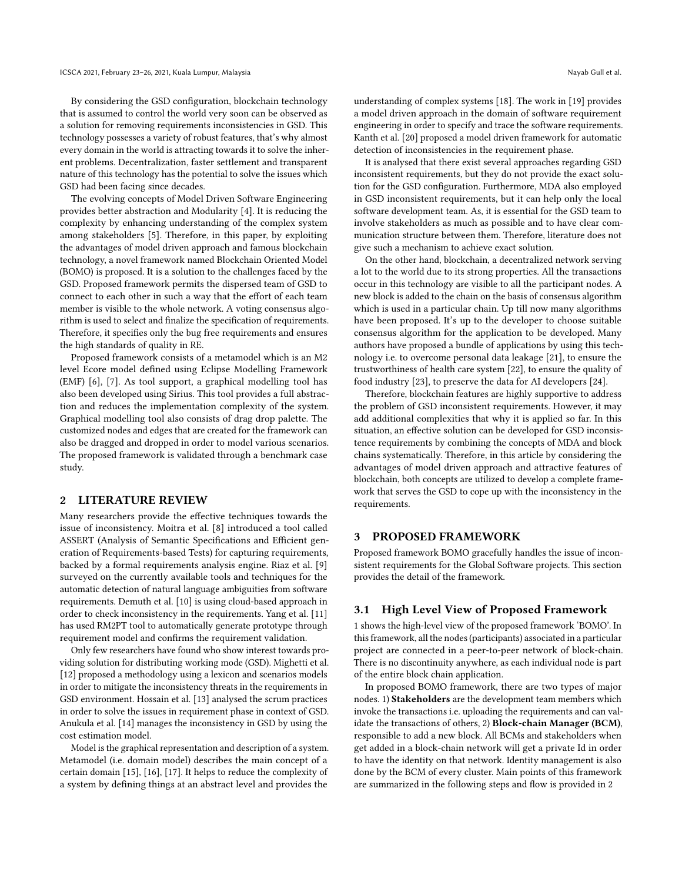By considering the GSD configuration, blockchain technology that is assumed to control the world very soon can be observed as a solution for removing requirements inconsistencies in GSD. This technology possesses a variety of robust features, that's why almost every domain in the world is attracting towards it to solve the inherent problems. Decentralization, faster settlement and transparent nature of this technology has the potential to solve the issues which GSD had been facing since decades.

The evolving concepts of Model Driven Software Engineering provides better abstraction and Modularity [\[4\]](#page-6-4). It is reducing the complexity by enhancing understanding of the complex system among stakeholders [\[5\]](#page-6-5). Therefore, in this paper, by exploiting the advantages of model driven approach and famous blockchain technology, a novel framework named Blockchain Oriented Model (BOMO) is proposed. It is a solution to the challenges faced by the GSD. Proposed framework permits the dispersed team of GSD to connect to each other in such a way that the effort of each team member is visible to the whole network. A voting consensus algorithm is used to select and finalize the specification of requirements. Therefore, it specifies only the bug free requirements and ensures the high standards of quality in RE.

Proposed framework consists of a metamodel which is an M2 level Ecore model defined using Eclipse Modelling Framework (EMF) [\[6\]](#page-6-6), [\[7\]](#page-6-7). As tool support, a graphical modelling tool has also been developed using Sirius. This tool provides a full abstraction and reduces the implementation complexity of the system. Graphical modelling tool also consists of drag drop palette. The customized nodes and edges that are created for the framework can also be dragged and dropped in order to model various scenarios. The proposed framework is validated through a benchmark case study.

#### 2 LITERATURE REVIEW

Many researchers provide the effective techniques towards the issue of inconsistency. Moitra et al. [\[8\]](#page-6-8) introduced a tool called ASSERT (Analysis of Semantic Specifications and Efficient generation of Requirements-based Tests) for capturing requirements, backed by a formal requirements analysis engine. Riaz et al. [\[9\]](#page-6-9) surveyed on the currently available tools and techniques for the automatic detection of natural language ambiguities from software requirements. Demuth et al. [\[10\]](#page-6-10) is using cloud-based approach in order to check inconsistency in the requirements. Yang et al. [\[11\]](#page-6-11) has used RM2PT tool to automatically generate prototype through requirement model and confirms the requirement validation.

Only few researchers have found who show interest towards providing solution for distributing working mode (GSD). Mighetti et al. [\[12\]](#page-6-12) proposed a methodology using a lexicon and scenarios models in order to mitigate the inconsistency threats in the requirements in GSD environment. Hossain et al. [\[13\]](#page-6-13) analysed the scrum practices in order to solve the issues in requirement phase in context of GSD. Anukula et al. [\[14\]](#page-6-14) manages the inconsistency in GSD by using the cost estimation model.

Model is the graphical representation and description of a system. Metamodel (i.e. domain model) describes the main concept of a certain domain [\[15\]](#page-6-15), [\[16\]](#page-6-16), [\[17\]](#page-6-17). It helps to reduce the complexity of a system by defining things at an abstract level and provides the

understanding of complex systems [\[18\]](#page-6-18). The work in [\[19\]](#page-6-19) provides a model driven approach in the domain of software requirement engineering in order to specify and trace the software requirements. Kanth et al. [\[20\]](#page-6-20) proposed a model driven framework for automatic detection of inconsistencies in the requirement phase.

It is analysed that there exist several approaches regarding GSD inconsistent requirements, but they do not provide the exact solution for the GSD configuration. Furthermore, MDA also employed in GSD inconsistent requirements, but it can help only the local software development team. As, it is essential for the GSD team to involve stakeholders as much as possible and to have clear communication structure between them. Therefore, literature does not give such a mechanism to achieve exact solution.

On the other hand, blockchain, a decentralized network serving a lot to the world due to its strong properties. All the transactions occur in this technology are visible to all the participant nodes. A new block is added to the chain on the basis of consensus algorithm which is used in a particular chain. Up till now many algorithms have been proposed. It's up to the developer to choose suitable consensus algorithm for the application to be developed. Many authors have proposed a bundle of applications by using this technology i.e. to overcome personal data leakage [\[21\]](#page-6-21), to ensure the trustworthiness of health care system [\[22\]](#page-6-22), to ensure the quality of food industry [\[23\]](#page-6-23), to preserve the data for AI developers [\[24\]](#page-6-24).

Therefore, blockchain features are highly supportive to address the problem of GSD inconsistent requirements. However, it may add additional complexities that why it is applied so far. In this situation, an effective solution can be developed for GSD inconsistence requirements by combining the concepts of MDA and block chains systematically. Therefore, in this article by considering the advantages of model driven approach and attractive features of blockchain, both concepts are utilized to develop a complete framework that serves the GSD to cope up with the inconsistency in the requirements.

#### 3 PROPOSED FRAMEWORK

Proposed framework BOMO gracefully handles the issue of inconsistent requirements for the Global Software projects. This section provides the detail of the framework.

#### 3.1 High Level View of Proposed Framework

[1](#page-2-0) shows the high-level view of the proposed framework 'BOMO'. In this framework, all the nodes (participants) associated in a particular project are connected in a peer-to-peer network of block-chain. There is no discontinuity anywhere, as each individual node is part of the entire block chain application.

In proposed BOMO framework, there are two types of major nodes. 1) Stakeholders are the development team members which invoke the transactions i.e. uploading the requirements and can validate the transactions of others, 2) Block-chain Manager (BCM), responsible to add a new block. All BCMs and stakeholders when get added in a block-chain network will get a private Id in order to have the identity on that network. Identity management is also done by the BCM of every cluster. Main points of this framework are summarized in the following steps and flow is provided in [2](#page-3-0)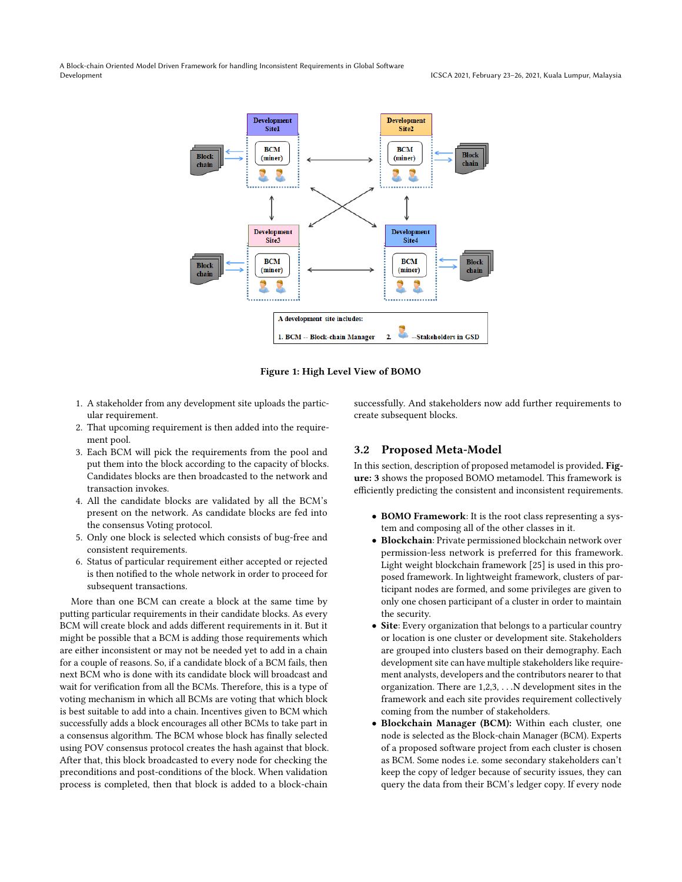<span id="page-2-0"></span>A Block-chain Oriented Model Driven Framework for handling Inconsistent Requirements in Global Software Development ICSCA 2021, February 23–26, 2021, Kuala Lumpur, Malaysia



Figure 1: High Level View of BOMO

- 1. A stakeholder from any development site uploads the particular requirement.
- 2. That upcoming requirement is then added into the requirement pool.
- 3. Each BCM will pick the requirements from the pool and put them into the block according to the capacity of blocks. Candidates blocks are then broadcasted to the network and transaction invokes.
- 4. All the candidate blocks are validated by all the BCM's present on the network. As candidate blocks are fed into the consensus Voting protocol.
- 5. Only one block is selected which consists of bug-free and consistent requirements.
- 6. Status of particular requirement either accepted or rejected is then notified to the whole network in order to proceed for subsequent transactions.

More than one BCM can create a block at the same time by putting particular requirements in their candidate blocks. As every BCM will create block and adds different requirements in it. But it might be possible that a BCM is adding those requirements which are either inconsistent or may not be needed yet to add in a chain for a couple of reasons. So, if a candidate block of a BCM fails, then next BCM who is done with its candidate block will broadcast and wait for verification from all the BCMs. Therefore, this is a type of voting mechanism in which all BCMs are voting that which block is best suitable to add into a chain. Incentives given to BCM which successfully adds a block encourages all other BCMs to take part in a consensus algorithm. The BCM whose block has finally selected using POV consensus protocol creates the hash against that block. After that, this block broadcasted to every node for checking the preconditions and post-conditions of the block. When validation process is completed, then that block is added to a block-chain

successfully. And stakeholders now add further requirements to create subsequent blocks.

# 3.2 Proposed Meta-Model

In this section, description of proposed metamodel is provided. Figure: 3 shows the proposed BOMO metamodel. This framework is efficiently predicting the consistent and inconsistent requirements.

- BOMO Framework: It is the root class representing a system and composing all of the other classes in it.
- Blockchain: Private permissioned blockchain network over permission-less network is preferred for this framework. Light weight blockchain framework [\[25\]](#page-6-25) is used in this proposed framework. In lightweight framework, clusters of participant nodes are formed, and some privileges are given to only one chosen participant of a cluster in order to maintain the security.
- Site: Every organization that belongs to a particular country or location is one cluster or development site. Stakeholders are grouped into clusters based on their demography. Each development site can have multiple stakeholders like requirement analysts, developers and the contributors nearer to that organization. There are 1,2,3, . . .N development sites in the framework and each site provides requirement collectively coming from the number of stakeholders.
- Blockchain Manager (BCM): Within each cluster, one node is selected as the Block-chain Manager (BCM). Experts of a proposed software project from each cluster is chosen as BCM. Some nodes i.e. some secondary stakeholders can't keep the copy of ledger because of security issues, they can query the data from their BCM's ledger copy. If every node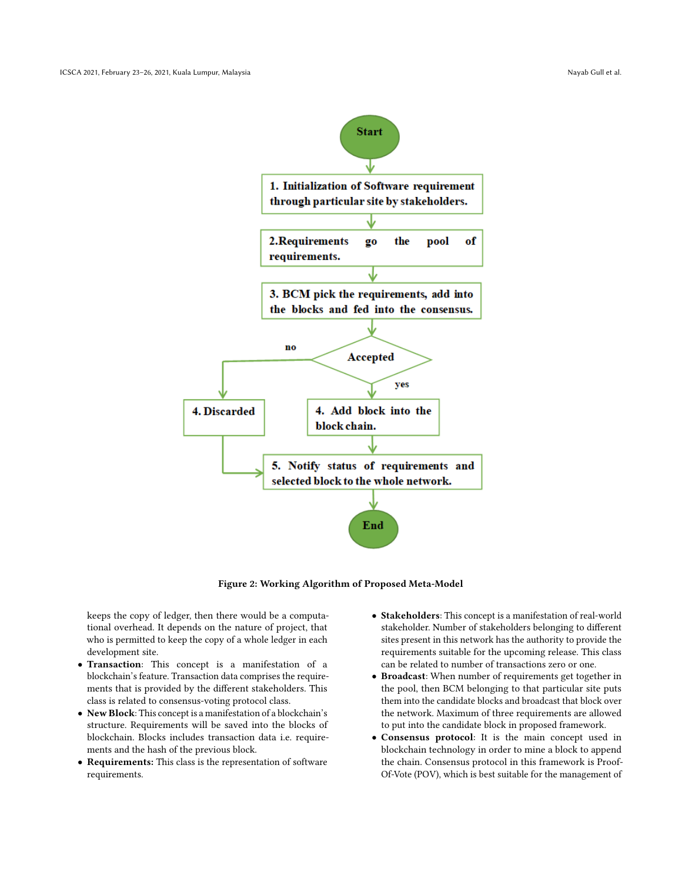<span id="page-3-0"></span>

Figure 2: Working Algorithm of Proposed Meta-Model

keeps the copy of ledger, then there would be a computational overhead. It depends on the nature of project, that who is permitted to keep the copy of a whole ledger in each development site.

- Transaction: This concept is a manifestation of a blockchain's feature. Transaction data comprises the requirements that is provided by the different stakeholders. This class is related to consensus-voting protocol class.
- New Block: This concept is a manifestation of a blockchain's structure. Requirements will be saved into the blocks of blockchain. Blocks includes transaction data i.e. requirements and the hash of the previous block.
- Requirements: This class is the representation of software requirements.
- Stakeholders: This concept is a manifestation of real-world stakeholder. Number of stakeholders belonging to different sites present in this network has the authority to provide the requirements suitable for the upcoming release. This class can be related to number of transactions zero or one.
- Broadcast: When number of requirements get together in the pool, then BCM belonging to that particular site puts them into the candidate blocks and broadcast that block over the network. Maximum of three requirements are allowed to put into the candidate block in proposed framework.
- Consensus protocol: It is the main concept used in blockchain technology in order to mine a block to append the chain. Consensus protocol in this framework is Proof-Of-Vote (POV), which is best suitable for the management of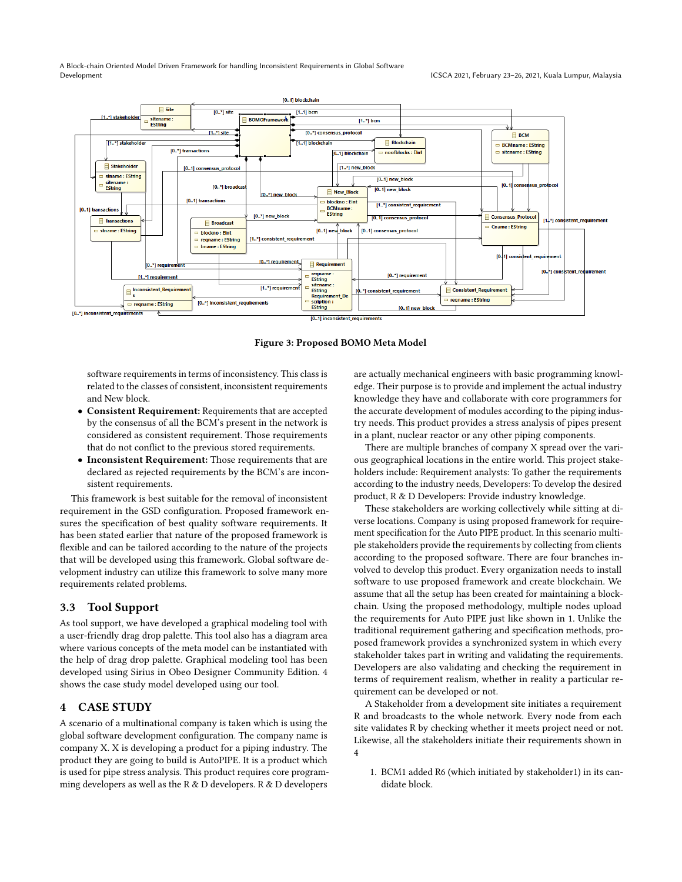A Block-chain Oriented Model Driven Framework for handling Inconsistent Requirements in Global Software Development ICSCA 2021, February 23–26, 2021, Kuala Lumpur, Malaysia



Figure 3: Proposed BOMO Meta Model

software requirements in terms of inconsistency. This class is related to the classes of consistent, inconsistent requirements and New block.

- Consistent Requirement: Requirements that are accepted by the consensus of all the BCM's present in the network is considered as consistent requirement. Those requirements that do not conflict to the previous stored requirements.
- Inconsistent Requirement: Those requirements that are declared as rejected requirements by the BCM's are inconsistent requirements.

This framework is best suitable for the removal of inconsistent requirement in the GSD configuration. Proposed framework ensures the specification of best quality software requirements. It has been stated earlier that nature of the proposed framework is flexible and can be tailored according to the nature of the projects that will be developed using this framework. Global software development industry can utilize this framework to solve many more requirements related problems.

## 3.3 Tool Support

As tool support, we have developed a graphical modeling tool with a user-friendly drag drop palette. This tool also has a diagram area where various concepts of the meta model can be instantiated with the help of drag drop palette. Graphical modeling tool has been developed using Sirius in Obeo Designer Community Edition. [4](#page-5-0) shows the case study model developed using our tool.

## 4 CASE STUDY

A scenario of a multinational company is taken which is using the global software development configuration. The company name is company X. X is developing a product for a piping industry. The product they are going to build is AutoPIPE. It is a product which is used for pipe stress analysis. This product requires core programming developers as well as the R & D developers. R & D developers

are actually mechanical engineers with basic programming knowledge. Their purpose is to provide and implement the actual industry knowledge they have and collaborate with core programmers for the accurate development of modules according to the piping industry needs. This product provides a stress analysis of pipes present in a plant, nuclear reactor or any other piping components.

There are multiple branches of company X spread over the various geographical locations in the entire world. This project stakeholders include: Requirement analysts: To gather the requirements according to the industry needs, Developers: To develop the desired product, R & D Developers: Provide industry knowledge.

These stakeholders are working collectively while sitting at diverse locations. Company is using proposed framework for requirement specification for the Auto PIPE product. In this scenario multiple stakeholders provide the requirements by collecting from clients according to the proposed software. There are four branches involved to develop this product. Every organization needs to install software to use proposed framework and create blockchain. We assume that all the setup has been created for maintaining a blockchain. Using the proposed methodology, multiple nodes upload the requirements for Auto PIPE just like shown in [1.](#page-2-0) Unlike the traditional requirement gathering and specification methods, proposed framework provides a synchronized system in which every stakeholder takes part in writing and validating the requirements. Developers are also validating and checking the requirement in terms of requirement realism, whether in reality a particular requirement can be developed or not.

A Stakeholder from a development site initiates a requirement R and broadcasts to the whole network. Every node from each site validates R by checking whether it meets project need or not. Likewise, all the stakeholders initiate their requirements shown in [4](#page-5-0)

1. BCM1 added R6 (which initiated by stakeholder1) in its candidate block.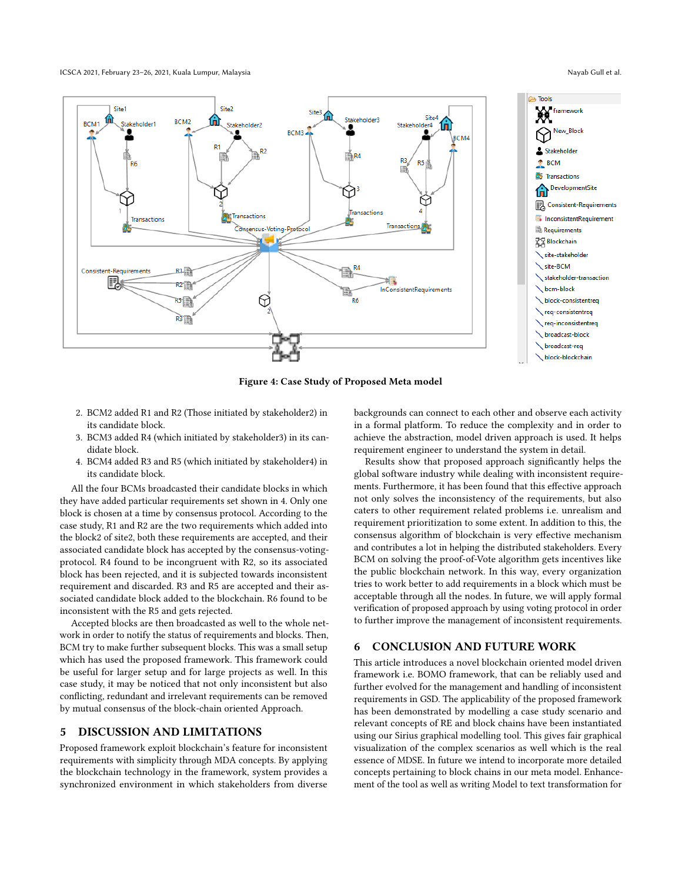ICSCA 2021, February 23–26, 2021, Kuala Lumpur, Malaysia Nayab Gull et al. Nayab Gull et al.

<span id="page-5-0"></span>



Figure 4: Case Study of Proposed Meta model

- 2. BCM2 added R1 and R2 (Those initiated by stakeholder2) in its candidate block.
- 3. BCM3 added R4 (which initiated by stakeholder3) in its candidate block.
- 4. BCM4 added R3 and R5 (which initiated by stakeholder4) in its candidate block.

All the four BCMs broadcasted their candidate blocks in which they have added particular requirements set shown in [4.](#page-5-0) Only one block is chosen at a time by consensus protocol. According to the case study, R1 and R2 are the two requirements which added into the block2 of site2, both these requirements are accepted, and their associated candidate block has accepted by the consensus-votingprotocol. R4 found to be incongruent with R2, so its associated block has been rejected, and it is subjected towards inconsistent requirement and discarded. R3 and R5 are accepted and their associated candidate block added to the blockchain. R6 found to be inconsistent with the R5 and gets rejected.

Accepted blocks are then broadcasted as well to the whole network in order to notify the status of requirements and blocks. Then, BCM try to make further subsequent blocks. This was a small setup which has used the proposed framework. This framework could be useful for larger setup and for large projects as well. In this case study, it may be noticed that not only inconsistent but also conflicting, redundant and irrelevant requirements can be removed by mutual consensus of the block-chain oriented Approach.

## 5 DISCUSSION AND LIMITATIONS

Proposed framework exploit blockchain's feature for inconsistent requirements with simplicity through MDA concepts. By applying the blockchain technology in the framework, system provides a synchronized environment in which stakeholders from diverse backgrounds can connect to each other and observe each activity in a formal platform. To reduce the complexity and in order to achieve the abstraction, model driven approach is used. It helps requirement engineer to understand the system in detail.

Results show that proposed approach significantly helps the global software industry while dealing with inconsistent requirements. Furthermore, it has been found that this effective approach not only solves the inconsistency of the requirements, but also caters to other requirement related problems i.e. unrealism and requirement prioritization to some extent. In addition to this, the consensus algorithm of blockchain is very effective mechanism and contributes a lot in helping the distributed stakeholders. Every BCM on solving the proof-of-Vote algorithm gets incentives like the public blockchain network. In this way, every organization tries to work better to add requirements in a block which must be acceptable through all the nodes. In future, we will apply formal verification of proposed approach by using voting protocol in order to further improve the management of inconsistent requirements.

## 6 CONCLUSION AND FUTURE WORK

This article introduces a novel blockchain oriented model driven framework i.e. BOMO framework, that can be reliably used and further evolved for the management and handling of inconsistent requirements in GSD. The applicability of the proposed framework has been demonstrated by modelling a case study scenario and relevant concepts of RE and block chains have been instantiated using our Sirius graphical modelling tool. This gives fair graphical visualization of the complex scenarios as well which is the real essence of MDSE. In future we intend to incorporate more detailed concepts pertaining to block chains in our meta model. Enhancement of the tool as well as writing Model to text transformation for